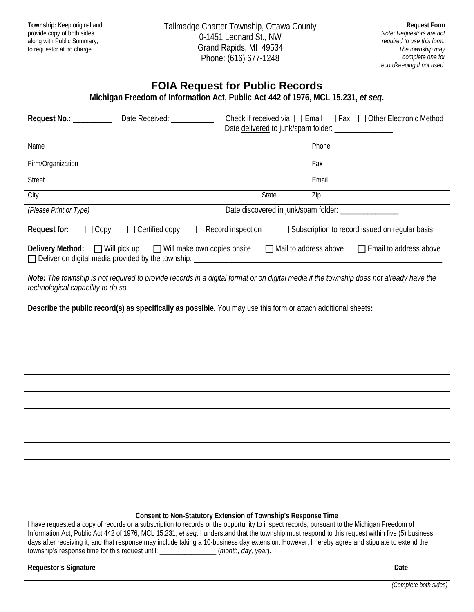| Township: Keep original and<br>provide copy of both sides,<br>along with Public Summary,<br>to requestor at no charge.                                                                                                                                                                                                                                                                                                                                                                                                                  | Tallmadge Charter Township, Ottawa County<br>0-1451 Leonard St., NW<br>Grand Rapids, MI 49534<br>Phone: (616) 677-1248     |                                                                               |  | <b>Request Form</b><br>Note: Requestors are not<br>required to use this form.<br>The township may<br>complete one for |  |
|-----------------------------------------------------------------------------------------------------------------------------------------------------------------------------------------------------------------------------------------------------------------------------------------------------------------------------------------------------------------------------------------------------------------------------------------------------------------------------------------------------------------------------------------|----------------------------------------------------------------------------------------------------------------------------|-------------------------------------------------------------------------------|--|-----------------------------------------------------------------------------------------------------------------------|--|
|                                                                                                                                                                                                                                                                                                                                                                                                                                                                                                                                         | <b>FOIA Request for Public Records</b><br>Michigan Freedom of Information Act, Public Act 442 of 1976, MCL 15.231, et seq. |                                                                               |  | recordkeeping if not used.                                                                                            |  |
| Request No.: _________ Date Received: __________                                                                                                                                                                                                                                                                                                                                                                                                                                                                                        |                                                                                                                            | Check if received via: $\Box$ Email $\Box$ Fax $\Box$ Other Electronic Method |  |                                                                                                                       |  |
| Name                                                                                                                                                                                                                                                                                                                                                                                                                                                                                                                                    | Phone                                                                                                                      |                                                                               |  |                                                                                                                       |  |
| Firm/Organization                                                                                                                                                                                                                                                                                                                                                                                                                                                                                                                       |                                                                                                                            | Fax                                                                           |  |                                                                                                                       |  |
| Street                                                                                                                                                                                                                                                                                                                                                                                                                                                                                                                                  |                                                                                                                            | Email                                                                         |  |                                                                                                                       |  |
| City                                                                                                                                                                                                                                                                                                                                                                                                                                                                                                                                    |                                                                                                                            | Zip<br>State                                                                  |  |                                                                                                                       |  |
| (Please Print or Type)                                                                                                                                                                                                                                                                                                                                                                                                                                                                                                                  | Date discovered in junk/spam folder: _________________                                                                     |                                                                               |  |                                                                                                                       |  |
| Request for:<br>$\Box$ Copy                                                                                                                                                                                                                                                                                                                                                                                                                                                                                                             | $\Box$ Certified copy<br>$\Box$ Record inspection                                                                          | Subscription to record issued on regular basis                                |  |                                                                                                                       |  |
| Delivery Method:                                                                                                                                                                                                                                                                                                                                                                                                                                                                                                                        | $\Box$ Will pick up $\Box$ Will make own copies onsite $\Box$ Mail to address above                                        |                                                                               |  | Email to address above                                                                                                |  |
| Note: The township is not required to provide records in a digital format or on digital media if the township does not already have the<br>technological capability to do so.                                                                                                                                                                                                                                                                                                                                                           |                                                                                                                            |                                                                               |  |                                                                                                                       |  |
| Describe the public record(s) as specifically as possible. You may use this form or attach additional sheets:                                                                                                                                                                                                                                                                                                                                                                                                                           |                                                                                                                            |                                                                               |  |                                                                                                                       |  |
|                                                                                                                                                                                                                                                                                                                                                                                                                                                                                                                                         |                                                                                                                            |                                                                               |  |                                                                                                                       |  |
|                                                                                                                                                                                                                                                                                                                                                                                                                                                                                                                                         |                                                                                                                            |                                                                               |  |                                                                                                                       |  |
|                                                                                                                                                                                                                                                                                                                                                                                                                                                                                                                                         |                                                                                                                            |                                                                               |  |                                                                                                                       |  |
|                                                                                                                                                                                                                                                                                                                                                                                                                                                                                                                                         |                                                                                                                            |                                                                               |  |                                                                                                                       |  |
|                                                                                                                                                                                                                                                                                                                                                                                                                                                                                                                                         |                                                                                                                            |                                                                               |  |                                                                                                                       |  |
|                                                                                                                                                                                                                                                                                                                                                                                                                                                                                                                                         |                                                                                                                            |                                                                               |  |                                                                                                                       |  |
|                                                                                                                                                                                                                                                                                                                                                                                                                                                                                                                                         |                                                                                                                            |                                                                               |  |                                                                                                                       |  |
|                                                                                                                                                                                                                                                                                                                                                                                                                                                                                                                                         |                                                                                                                            |                                                                               |  |                                                                                                                       |  |
|                                                                                                                                                                                                                                                                                                                                                                                                                                                                                                                                         |                                                                                                                            |                                                                               |  |                                                                                                                       |  |
|                                                                                                                                                                                                                                                                                                                                                                                                                                                                                                                                         |                                                                                                                            |                                                                               |  |                                                                                                                       |  |
|                                                                                                                                                                                                                                                                                                                                                                                                                                                                                                                                         |                                                                                                                            |                                                                               |  |                                                                                                                       |  |
| I have requested a copy of records or a subscription to records or the opportunity to inspect records, pursuant to the Michigan Freedom of<br>Information Act, Public Act 442 of 1976, MCL 15.231, et seq. I understand that the township must respond to this request within five (5) business<br>days after receiving it, and that response may include taking a 10-business day extension. However, I hereby agree and stipulate to extend the<br>township's response time for this request until: ______________(month, day, year). | Consent to Non-Statutory Extension of Township's Response Time                                                             |                                                                               |  |                                                                                                                       |  |
| Requestor's Signature                                                                                                                                                                                                                                                                                                                                                                                                                                                                                                                   |                                                                                                                            |                                                                               |  | Date                                                                                                                  |  |
|                                                                                                                                                                                                                                                                                                                                                                                                                                                                                                                                         |                                                                                                                            |                                                                               |  |                                                                                                                       |  |

*(Complete both sides)*